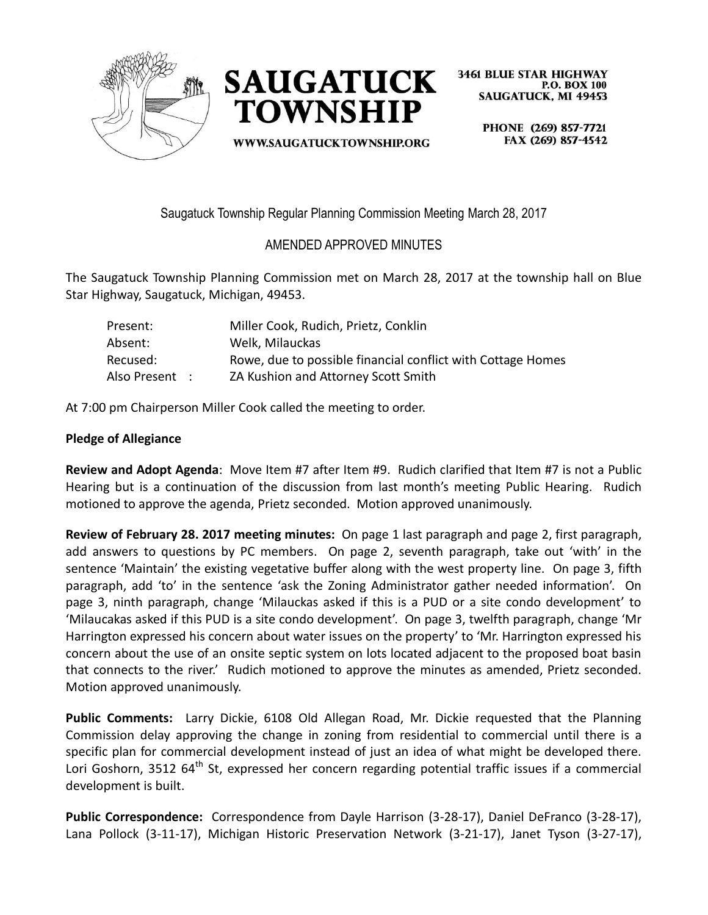



**WWW.SAUGATUCKTOWNSHIP.ORG** 

**3461 BLUE STAR HIGHWAY P.O. BOX 100 SAUGATUCK, MI 49453** 

> PHONE (269) 857-7721 FAX (269) 857-4542

Saugatuck Township Regular Planning Commission Meeting March 28, 2017

# AMENDED APPROVED MINUTES

The Saugatuck Township Planning Commission met on March 28, 2017 at the township hall on Blue Star Highway, Saugatuck, Michigan, 49453.

| Present:          | Miller Cook, Rudich, Prietz, Conklin                        |
|-------------------|-------------------------------------------------------------|
| Absent:           | Welk, Milauckas                                             |
| Recused:          | Rowe, due to possible financial conflict with Cottage Homes |
| Also Present    : | ZA Kushion and Attorney Scott Smith                         |

At 7:00 pm Chairperson Miller Cook called the meeting to order.

## **Pledge of Allegiance**

**Review and Adopt Agenda**: Move Item #7 after Item #9. Rudich clarified that Item #7 is not a Public Hearing but is a continuation of the discussion from last month's meeting Public Hearing. Rudich motioned to approve the agenda, Prietz seconded. Motion approved unanimously.

**Review of February 28. 2017 meeting minutes:** On page 1 last paragraph and page 2, first paragraph, add answers to questions by PC members. On page 2, seventh paragraph, take out 'with' in the sentence 'Maintain' the existing vegetative buffer along with the west property line. On page 3, fifth paragraph, add 'to' in the sentence 'ask the Zoning Administrator gather needed information'. On page 3, ninth paragraph, change 'Milauckas asked if this is a PUD or a site condo development' to 'Milaucakas asked if this PUD is a site condo development'. On page 3, twelfth paragraph, change 'Mr Harrington expressed his concern about water issues on the property' to 'Mr. Harrington expressed his concern about the use of an onsite septic system on lots located adjacent to the proposed boat basin that connects to the river.' Rudich motioned to approve the minutes as amended, Prietz seconded. Motion approved unanimously.

**Public Comments:** Larry Dickie, 6108 Old Allegan Road, Mr. Dickie requested that the Planning Commission delay approving the change in zoning from residential to commercial until there is a specific plan for commercial development instead of just an idea of what might be developed there. Lori Goshorn, 3512  $64<sup>th</sup>$  St, expressed her concern regarding potential traffic issues if a commercial development is built.

**Public Correspondence:** Correspondence from Dayle Harrison (3-28-17), Daniel DeFranco (3-28-17), Lana Pollock (3-11-17), Michigan Historic Preservation Network (3-21-17), Janet Tyson (3-27-17),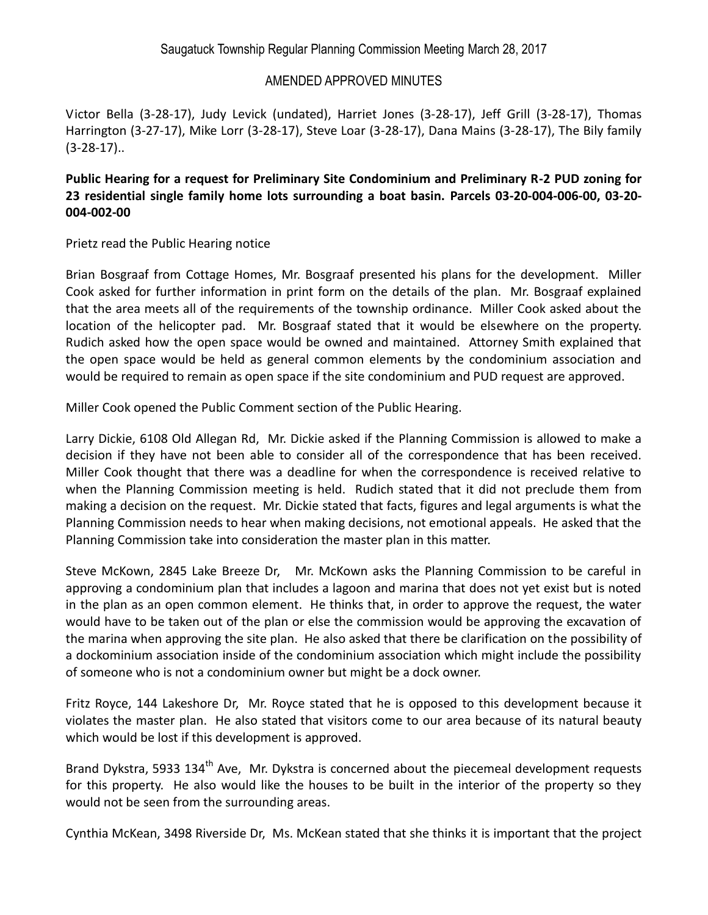Victor Bella (3-28-17), Judy Levick (undated), Harriet Jones (3-28-17), Jeff Grill (3-28-17), Thomas Harrington (3-27-17), Mike Lorr (3-28-17), Steve Loar (3-28-17), Dana Mains (3-28-17), The Bily family  $(3-28-17)$ ..

### **Public Hearing for a request for Preliminary Site Condominium and Preliminary R-2 PUD zoning for 23 residential single family home lots surrounding a boat basin. Parcels 03-20-004-006-00, 03-20- 004-002-00**

Prietz read the Public Hearing notice

Brian Bosgraaf from Cottage Homes, Mr. Bosgraaf presented his plans for the development. Miller Cook asked for further information in print form on the details of the plan. Mr. Bosgraaf explained that the area meets all of the requirements of the township ordinance. Miller Cook asked about the location of the helicopter pad. Mr. Bosgraaf stated that it would be elsewhere on the property. Rudich asked how the open space would be owned and maintained. Attorney Smith explained that the open space would be held as general common elements by the condominium association and would be required to remain as open space if the site condominium and PUD request are approved.

Miller Cook opened the Public Comment section of the Public Hearing.

Larry Dickie, 6108 Old Allegan Rd, Mr. Dickie asked if the Planning Commission is allowed to make a decision if they have not been able to consider all of the correspondence that has been received. Miller Cook thought that there was a deadline for when the correspondence is received relative to when the Planning Commission meeting is held. Rudich stated that it did not preclude them from making a decision on the request. Mr. Dickie stated that facts, figures and legal arguments is what the Planning Commission needs to hear when making decisions, not emotional appeals. He asked that the Planning Commission take into consideration the master plan in this matter.

Steve McKown, 2845 Lake Breeze Dr, Mr. McKown asks the Planning Commission to be careful in approving a condominium plan that includes a lagoon and marina that does not yet exist but is noted in the plan as an open common element. He thinks that, in order to approve the request, the water would have to be taken out of the plan or else the commission would be approving the excavation of the marina when approving the site plan. He also asked that there be clarification on the possibility of a dockominium association inside of the condominium association which might include the possibility of someone who is not a condominium owner but might be a dock owner.

Fritz Royce, 144 Lakeshore Dr, Mr. Royce stated that he is opposed to this development because it violates the master plan. He also stated that visitors come to our area because of its natural beauty which would be lost if this development is approved.

Brand Dykstra, 5933 134<sup>th</sup> Ave, Mr. Dykstra is concerned about the piecemeal development requests for this property. He also would like the houses to be built in the interior of the property so they would not be seen from the surrounding areas.

Cynthia McKean, 3498 Riverside Dr, Ms. McKean stated that she thinks it is important that the project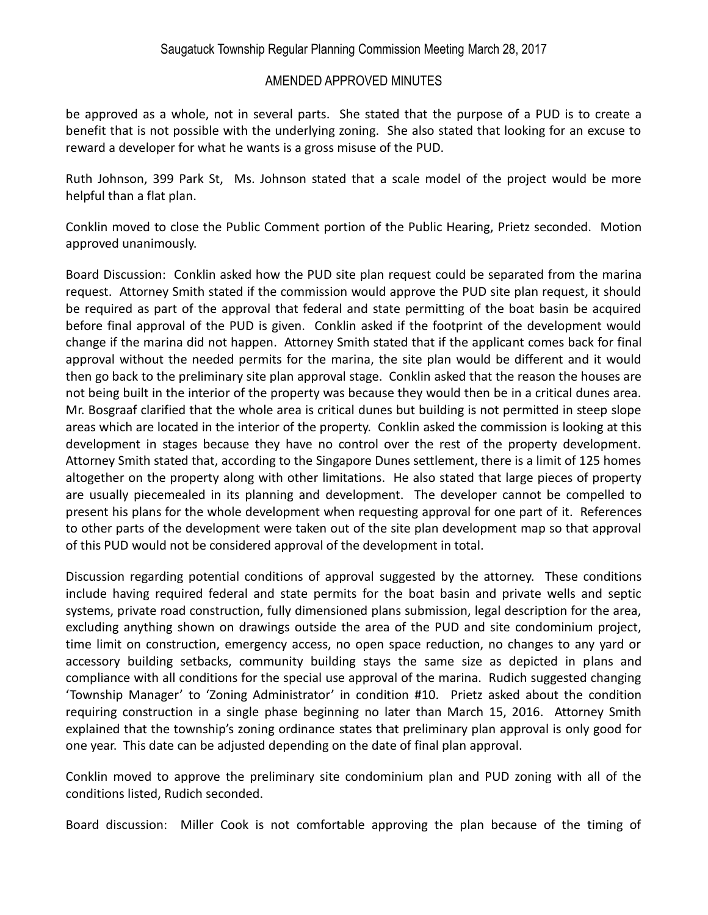be approved as a whole, not in several parts. She stated that the purpose of a PUD is to create a benefit that is not possible with the underlying zoning. She also stated that looking for an excuse to reward a developer for what he wants is a gross misuse of the PUD.

Ruth Johnson, 399 Park St, Ms. Johnson stated that a scale model of the project would be more helpful than a flat plan.

Conklin moved to close the Public Comment portion of the Public Hearing, Prietz seconded. Motion approved unanimously.

Board Discussion: Conklin asked how the PUD site plan request could be separated from the marina request. Attorney Smith stated if the commission would approve the PUD site plan request, it should be required as part of the approval that federal and state permitting of the boat basin be acquired before final approval of the PUD is given. Conklin asked if the footprint of the development would change if the marina did not happen. Attorney Smith stated that if the applicant comes back for final approval without the needed permits for the marina, the site plan would be different and it would then go back to the preliminary site plan approval stage. Conklin asked that the reason the houses are not being built in the interior of the property was because they would then be in a critical dunes area. Mr. Bosgraaf clarified that the whole area is critical dunes but building is not permitted in steep slope areas which are located in the interior of the property. Conklin asked the commission is looking at this development in stages because they have no control over the rest of the property development. Attorney Smith stated that, according to the Singapore Dunes settlement, there is a limit of 125 homes altogether on the property along with other limitations. He also stated that large pieces of property are usually piecemealed in its planning and development. The developer cannot be compelled to present his plans for the whole development when requesting approval for one part of it. References to other parts of the development were taken out of the site plan development map so that approval of this PUD would not be considered approval of the development in total.

Discussion regarding potential conditions of approval suggested by the attorney. These conditions include having required federal and state permits for the boat basin and private wells and septic systems, private road construction, fully dimensioned plans submission, legal description for the area, excluding anything shown on drawings outside the area of the PUD and site condominium project, time limit on construction, emergency access, no open space reduction, no changes to any yard or accessory building setbacks, community building stays the same size as depicted in plans and compliance with all conditions for the special use approval of the marina. Rudich suggested changing 'Township Manager' to 'Zoning Administrator' in condition #10. Prietz asked about the condition requiring construction in a single phase beginning no later than March 15, 2016. Attorney Smith explained that the township's zoning ordinance states that preliminary plan approval is only good for one year. This date can be adjusted depending on the date of final plan approval.

Conklin moved to approve the preliminary site condominium plan and PUD zoning with all of the conditions listed, Rudich seconded.

Board discussion: Miller Cook is not comfortable approving the plan because of the timing of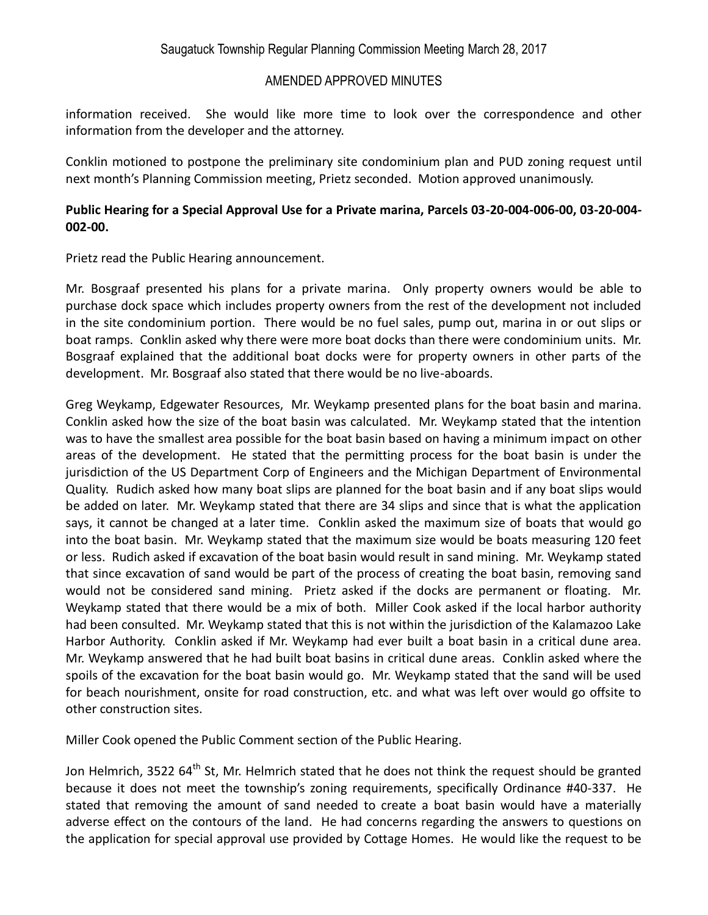information received. She would like more time to look over the correspondence and other information from the developer and the attorney.

Conklin motioned to postpone the preliminary site condominium plan and PUD zoning request until next month's Planning Commission meeting, Prietz seconded. Motion approved unanimously.

### **Public Hearing for a Special Approval Use for a Private marina, Parcels 03-20-004-006-00, 03-20-004- 002-00.**

Prietz read the Public Hearing announcement.

Mr. Bosgraaf presented his plans for a private marina. Only property owners would be able to purchase dock space which includes property owners from the rest of the development not included in the site condominium portion. There would be no fuel sales, pump out, marina in or out slips or boat ramps. Conklin asked why there were more boat docks than there were condominium units. Mr. Bosgraaf explained that the additional boat docks were for property owners in other parts of the development. Mr. Bosgraaf also stated that there would be no live-aboards.

Greg Weykamp, Edgewater Resources, Mr. Weykamp presented plans for the boat basin and marina. Conklin asked how the size of the boat basin was calculated. Mr. Weykamp stated that the intention was to have the smallest area possible for the boat basin based on having a minimum impact on other areas of the development. He stated that the permitting process for the boat basin is under the jurisdiction of the US Department Corp of Engineers and the Michigan Department of Environmental Quality. Rudich asked how many boat slips are planned for the boat basin and if any boat slips would be added on later. Mr. Weykamp stated that there are 34 slips and since that is what the application says, it cannot be changed at a later time. Conklin asked the maximum size of boats that would go into the boat basin. Mr. Weykamp stated that the maximum size would be boats measuring 120 feet or less. Rudich asked if excavation of the boat basin would result in sand mining. Mr. Weykamp stated that since excavation of sand would be part of the process of creating the boat basin, removing sand would not be considered sand mining. Prietz asked if the docks are permanent or floating. Mr. Weykamp stated that there would be a mix of both. Miller Cook asked if the local harbor authority had been consulted. Mr. Weykamp stated that this is not within the jurisdiction of the Kalamazoo Lake Harbor Authority. Conklin asked if Mr. Weykamp had ever built a boat basin in a critical dune area. Mr. Weykamp answered that he had built boat basins in critical dune areas. Conklin asked where the spoils of the excavation for the boat basin would go. Mr. Weykamp stated that the sand will be used for beach nourishment, onsite for road construction, etc. and what was left over would go offsite to other construction sites.

Miller Cook opened the Public Comment section of the Public Hearing.

Jon Helmrich, 3522 64<sup>th</sup> St, Mr. Helmrich stated that he does not think the request should be granted because it does not meet the township's zoning requirements, specifically Ordinance #40-337. He stated that removing the amount of sand needed to create a boat basin would have a materially adverse effect on the contours of the land. He had concerns regarding the answers to questions on the application for special approval use provided by Cottage Homes. He would like the request to be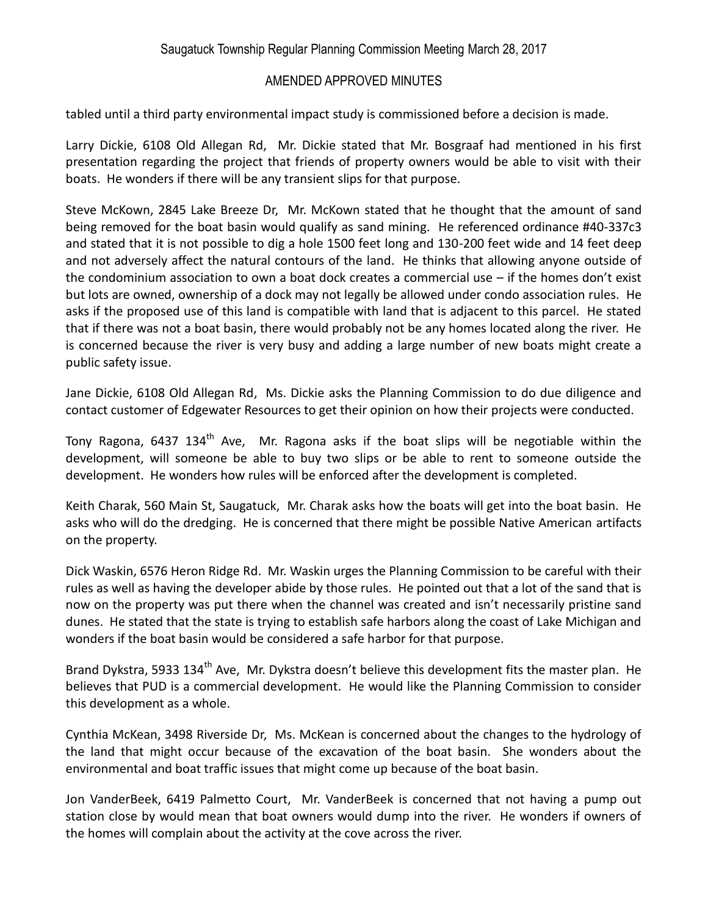tabled until a third party environmental impact study is commissioned before a decision is made.

Larry Dickie, 6108 Old Allegan Rd, Mr. Dickie stated that Mr. Bosgraaf had mentioned in his first presentation regarding the project that friends of property owners would be able to visit with their boats. He wonders if there will be any transient slips for that purpose.

Steve McKown, 2845 Lake Breeze Dr, Mr. McKown stated that he thought that the amount of sand being removed for the boat basin would qualify as sand mining. He referenced ordinance #40-337c3 and stated that it is not possible to dig a hole 1500 feet long and 130-200 feet wide and 14 feet deep and not adversely affect the natural contours of the land. He thinks that allowing anyone outside of the condominium association to own a boat dock creates a commercial use – if the homes don't exist but lots are owned, ownership of a dock may not legally be allowed under condo association rules. He asks if the proposed use of this land is compatible with land that is adjacent to this parcel. He stated that if there was not a boat basin, there would probably not be any homes located along the river. He is concerned because the river is very busy and adding a large number of new boats might create a public safety issue.

Jane Dickie, 6108 Old Allegan Rd, Ms. Dickie asks the Planning Commission to do due diligence and contact customer of Edgewater Resources to get their opinion on how their projects were conducted.

Tony Ragona, 6437 134<sup>th</sup> Ave, Mr. Ragona asks if the boat slips will be negotiable within the development, will someone be able to buy two slips or be able to rent to someone outside the development. He wonders how rules will be enforced after the development is completed.

Keith Charak, 560 Main St, Saugatuck, Mr. Charak asks how the boats will get into the boat basin. He asks who will do the dredging. He is concerned that there might be possible Native American artifacts on the property.

Dick Waskin, 6576 Heron Ridge Rd. Mr. Waskin urges the Planning Commission to be careful with their rules as well as having the developer abide by those rules. He pointed out that a lot of the sand that is now on the property was put there when the channel was created and isn't necessarily pristine sand dunes. He stated that the state is trying to establish safe harbors along the coast of Lake Michigan and wonders if the boat basin would be considered a safe harbor for that purpose.

Brand Dykstra, 5933 134<sup>th</sup> Ave, Mr. Dykstra doesn't believe this development fits the master plan. He believes that PUD is a commercial development. He would like the Planning Commission to consider this development as a whole.

Cynthia McKean, 3498 Riverside Dr, Ms. McKean is concerned about the changes to the hydrology of the land that might occur because of the excavation of the boat basin. She wonders about the environmental and boat traffic issues that might come up because of the boat basin.

Jon VanderBeek, 6419 Palmetto Court, Mr. VanderBeek is concerned that not having a pump out station close by would mean that boat owners would dump into the river. He wonders if owners of the homes will complain about the activity at the cove across the river.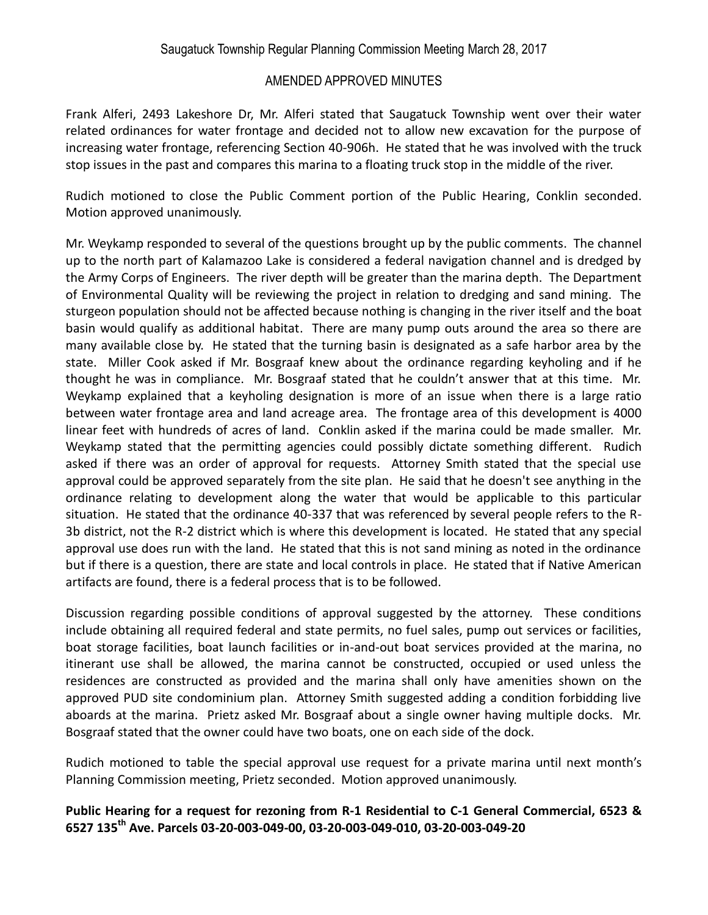Frank Alferi, 2493 Lakeshore Dr, Mr. Alferi stated that Saugatuck Township went over their water related ordinances for water frontage and decided not to allow new excavation for the purpose of increasing water frontage, referencing Section 40-906h. He stated that he was involved with the truck stop issues in the past and compares this marina to a floating truck stop in the middle of the river.

Rudich motioned to close the Public Comment portion of the Public Hearing, Conklin seconded. Motion approved unanimously.

Mr. Weykamp responded to several of the questions brought up by the public comments. The channel up to the north part of Kalamazoo Lake is considered a federal navigation channel and is dredged by the Army Corps of Engineers. The river depth will be greater than the marina depth. The Department of Environmental Quality will be reviewing the project in relation to dredging and sand mining. The sturgeon population should not be affected because nothing is changing in the river itself and the boat basin would qualify as additional habitat. There are many pump outs around the area so there are many available close by. He stated that the turning basin is designated as a safe harbor area by the state. Miller Cook asked if Mr. Bosgraaf knew about the ordinance regarding keyholing and if he thought he was in compliance. Mr. Bosgraaf stated that he couldn't answer that at this time. Mr. Weykamp explained that a keyholing designation is more of an issue when there is a large ratio between water frontage area and land acreage area. The frontage area of this development is 4000 linear feet with hundreds of acres of land. Conklin asked if the marina could be made smaller. Mr. Weykamp stated that the permitting agencies could possibly dictate something different. Rudich asked if there was an order of approval for requests. Attorney Smith stated that the special use approval could be approved separately from the site plan. He said that he doesn't see anything in the ordinance relating to development along the water that would be applicable to this particular situation. He stated that the ordinance 40-337 that was referenced by several people refers to the R-3b district, not the R-2 district which is where this development is located. He stated that any special approval use does run with the land. He stated that this is not sand mining as noted in the ordinance but if there is a question, there are state and local controls in place. He stated that if Native American artifacts are found, there is a federal process that is to be followed.

Discussion regarding possible conditions of approval suggested by the attorney. These conditions include obtaining all required federal and state permits, no fuel sales, pump out services or facilities, boat storage facilities, boat launch facilities or in-and-out boat services provided at the marina, no itinerant use shall be allowed, the marina cannot be constructed, occupied or used unless the residences are constructed as provided and the marina shall only have amenities shown on the approved PUD site condominium plan. Attorney Smith suggested adding a condition forbidding live aboards at the marina. Prietz asked Mr. Bosgraaf about a single owner having multiple docks. Mr. Bosgraaf stated that the owner could have two boats, one on each side of the dock.

Rudich motioned to table the special approval use request for a private marina until next month's Planning Commission meeting, Prietz seconded. Motion approved unanimously.

### **Public Hearing for a request for rezoning from R-1 Residential to C-1 General Commercial, 6523 & 6527 135th Ave. Parcels 03-20-003-049-00, 03-20-003-049-010, 03-20-003-049-20**